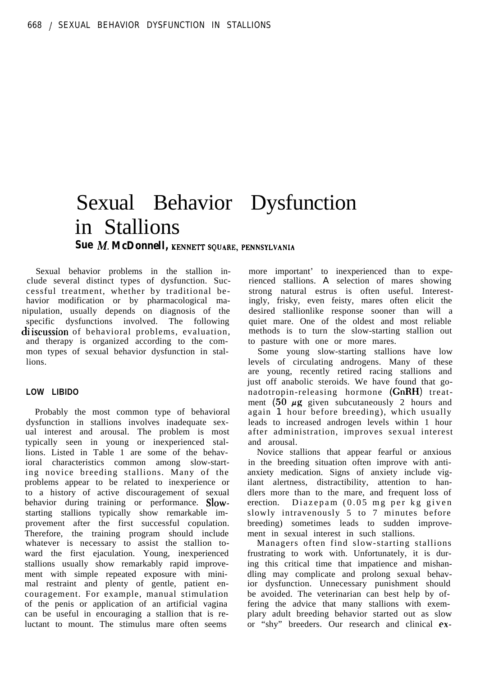# Sexual Behavior Dysfunction in Stallions **Sue M. McDonnell, KENNETT SQUARE, PENNSYLVANIA**

Sexual behavior problems in the stallion include several distinct types of dysfunction. Successful treatment, whether by traditional behavior modification or by pharmacological manipulation, usually depends on diagnosis of the specific dysfunctions involved. The following di iscussion of behavioral problems, evaluation, and therapy is organized according to the common types of sexual behavior dysfunction in stallions.

# **LOW LIBIDO**

Probably the most common type of behavioral dysfunction in stallions involves inadequate sexual interest and arousal. The problem is most typically seen in young or inexperienced stallions. Listed in Table 1 are some of the behavioral characteristics common among slow-starting novice breeding stallions. Many of the problems appear to be related to inexperience or to a history of active discouragement of sexual behavior during training or performance. Slowstarting stallions typically show remarkable improvement after the first successful copulation. Therefore, the training program should include whatever is necessary to assist the stallion toward the first ejaculation. Young, inexperienced stallions usually show remarkably rapid improvement with simple repeated exposure with minimal restraint and plenty of gentle, patient encouragement. For example, manual stimulation of the penis or application of an artificial vagina can be useful in encouraging a stallion that is reluctant to mount. The stimulus mare often seems

more important' to inexperienced than to experienced stallions. A selection of mares showing strong natural estrus is often useful. Interestingly, frisky, even feisty, mares often elicit the desired stallionlike response sooner than will a quiet mare. One of the oldest and most reliable methods is to turn the slow-starting stallion out to pasture with one or more mares.

Some young slow-starting stallions have low levels of circulating androgens. Many of these are young, recently retired racing stallions and just off anabolic steroids. We have found that gonadotropin-releasing hormone (GnRH) treatment  $(50 \mu g)$  given subcutaneously 2 hours and again 1 hour before breeding), which usually leads to increased androgen levels within 1 hour after administration, improves sexual interest and arousal.

Novice stallions that appear fearful or anxious in the breeding situation often improve with antianxiety medication. Signs of anxiety include vigilant alertness, distractibility, attention to handlers more than to the mare, and frequent loss of erection. Diazepam (0.05 mg per kg given slowly intravenously 5 to 7 minutes before breeding) sometimes leads to sudden improvement in sexual interest in such stallions.

Managers often find slow-starting stallions frustrating to work with. Unfortunately, it is during this critical time that impatience and mishandling may complicate and prolong sexual behavior dysfunction. Unnecessary punishment should be avoided. The veterinarian can best help by offering the advice that many stallions with exemplary adult breeding behavior started out as slow or "shy" breeders. Our research and clinical ex-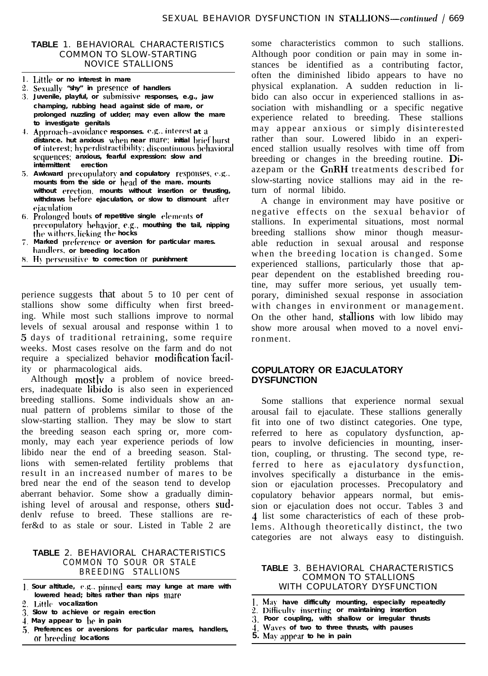## **TABLE** 1. BEHAVIORAL CHARACTERISTICS COMMON TO SLOW-STARTING NOVICE STALLIONS

- **Little or no interest in mare**
- 2. Sexually "shy" in presence of handlers
- **Juvenile, playful, or submissiv? responses, e.g., jaw champing, rubbing head against side of mare, or prolonged nuzzling of udder; may even allow the mare to investigate genitals**
- 4. Approach-avoidance responses. e.g., interest at a **distance. hut anxious when near mare; initial briet bur of interest; tr~pt'r[listractil)ility; disconlinuous behavioral sequences: anxious, fearful expression: slow and intermittent erection**
- 5. Awkward precopulatory and copulatory responses, e.g., mounts from the side or head of the mare. mounts without erection, mounts without insertion or thrusting, withdraws before ejaculation, or slow to dismount after **rjaculation**
- **6.** Prolonged bouts of repetitive single elements of **precopulatory** behavior, **e.g., mouthing** the tail, nipping **the** withers, licking the hocks
- $7.$  Marked preference or aversion for particular mares. **handlrrs. or breeding location**
- **8.** Hy persensitive to correction Of punishment

perience suggests that about 5 to 10 per cent of stallions show some difficulty when first breeding. While most such stallions improve to normal levels of sexual arousal and response within 1 to 5 days of traditional retraining, some require weeks. Most cases resolve on the farm and do not require a specialized behavior modification'facility or pharmacological aids.

Although  $\text{mostly}$  a problem of novice breeders, inadequate libido is also seen in experienced breeding stallions. Some individuals show an annual pattern of problems similar to those of the slow-starting stallion. They may be slow to start the breeding season each spring or, more commonly, may each year experience periods of low libido near the end of a breeding season. Stallions with semen-related fertility problems that result in an increased number of mares to be bred near the end of the season tend to develop aberrant behavior. Some show a gradually diminishing level of arousal and response, others suddenly refuse to breed. These stallions are refer&d to as stale or sour. Listed in Table 2 are

## **TABLE** 2. BEHAVIORAL CHARACTERISTICS COMMON TO SOUR OR STALE BREEDING STALLIONS

- **1, Sour altitude, e.g.. pinned ears; may lunge at mare with lowered head; bites rather than nips mare**
- **2. Little vocalization**
- **3. Slow to achieve or regain erection**
- **1. May appear to be in pain**
- **5. Preferences or aversions for particular mares, handlers, or breedine locations**

some characteristics common to such stallions. Although poor condition or pain may in some instances be identified as a contributing factor, often the diminished libido appears to have no physical explanation. A sudden reduction in libido can also occur in experienced stallions in association with mishandling or a specific negative experience related to breeding. These stallions may appear anxious or simply disinterested rather than sour. Lowered libido in an experienced stallion usually resolves with time off from breeding or changes in the breeding routine. Diazepam or the GnRH treatments described for slow-starting novice stallions may aid in the return of normal libido.

A change in environment may have positive or negative effects on the sexual behavior of stallions. In experimental situations, most normal breeding stallions show minor though measurable reduction in sexual arousal and response when the breeding location is changed. Some experienced stallions, particularly those that appear dependent on the established breeding routine, may suffer more serious, yet usually temporary, diminished sexual response in association with changes in environment or management. On the other hand, stallions with low libido may show more arousal when moved to a novel environment.

## **COPULATORY OR EJACULATORY DYSFUNCTION**

Some stallions that experience normal sexual arousal fail to ejaculate. These stallions generally fit into one of two distinct categories. One type, referred to here as copulatory dysfunction, appears to involve deficiencies in mounting, insertion, coupling, or thrusting. The second type, referred to here as ejaculatory dysfunction, involves specifically a disturbance in the emission or ejaculation processes. Precopulatory and copulatory behavior appears normal, but emission or ejaculation does not occur. Tables 3 and 3 list some characteristics of each of these problems. Although theoretically distinct, the two categories are not always easy to distinguish.

## **TABLE** 3. BEHAVIORAL CHARACTERISTICS COMMON TO STALLIONS WITH COPULATORY DYSFUNCTION

- **I. Mav have difficulty mounting, especially repeatedly**
- **2. Ditjiculty inserting or maintaining insertion**
- **:I. Poor coupling, with shallow or irregular thrusts**
- **-1. Waves of two to three thrusts, with pauses**
- **5. May appear to he in pain**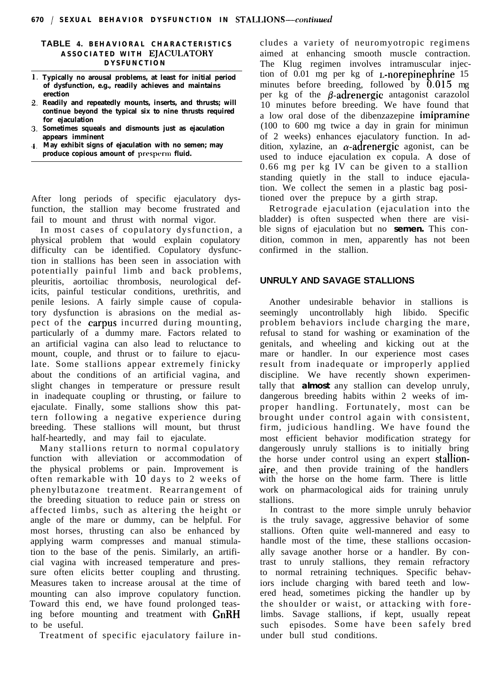### **TABLE 4. BEHAVIORAL CHARACTERISTICS ASSOCIATED WITH EJACULATORY DYSFUNCTION**

- **Typically no arousal problems, at least for initial period of dysfunction, e.g., readily achieves and maintains erection**
- **Readily and repeatedly mounts, inserts, and thrusts; will continue beyond the typical six to nine thrusts required for ejaculation**
- **Sometimes squeals and dismounts just as ejaculation appears imminent**
- **May exhibit signs of ejaculation with no semen; may produce copious amount of presperm fluid.**

After long periods of specific ejaculatory dysfunction, the stallion may become frustrated and fail to mount and thrust with normal vigor.

In most cases of copulatory dysfunction, a physical problem that would explain copulatory difficulty can be identified. Copulatory dysfunction in stallions has been seen in association with potentially painful limb and back problems, pleuritis, aortoiliac thrombosis, neurological deficits, painful testicular conditions, urethritis, and penile lesions. A fairly simple cause of copulatory dysfunction is abrasions on the medial aspect of the carpus incurred during mounting, particularly of a dummy mare. Factors related to an artificial vagina can also lead to reluctance to mount, couple, and thrust or to failure to ejaculate. Some stallions appear extremely finicky about the conditions of an artificial vagina, and slight changes in temperature or pressure result in inadequate coupling or thrusting, or failure to ejaculate. Finally, some stallions show this pattern following a negative experience during breeding. These stallions will mount, but thrust half-heartedly, and may fail to ejaculate.

Many stallions return to normal copulatory function with alleviation or accommodation of the physical problems or pain. Improvement is often remarkable with 10 days to 2 weeks of phenylbutazone treatment. Rearrangement of the breeding situation to reduce pain or stress on affected limbs, such as altering the height or angle of the mare or dummy, can be helpful. For most horses, thrusting can also be enhanced by applying warm compresses and manual stimulation to the base of the penis. Similarly, an artificial vagina with increased temperature and pressure often elicits better coupling and thrusting. Measures taken to increase arousal at the time of mounting can also improve copulatory function. Toward this end, we have found prolonged teasing before mounting and treatment with GnRH to be useful.

Treatment of specific ejaculatory failure in-

cludes a variety of neuromyotropic regimens aimed at enhancing smooth muscle contraction. The Klug regimen involves intramuscular injection of 0.01 mg per kg of L-norepinephrine 15 minutes before breeding, followed by 0.015 mg per kg of the  $\beta$ -adrenergic antagonist carazolol 10 minutes before breeding. We have found that a low oral dose of the dibenzazepine imipramine (100 to 600 mg twice a day in grain for minimun of 2 weeks) enhances ejaculatory function. In addition, xylazine, an  $\alpha$ -adrenergic agonist, can be used to induce ejaculation ex copula. A dose of 0.66 mg per kg IV can be given to a stallion standing quietly in the stall to induce ejaculation. We collect the semen in a plastic bag positioned over the prepuce by a girth strap.

Retrograde ejaculation (ejaculation into the bladder) is often suspected when there are visible signs of ejaculation but no **semen.** This condition, common in men, apparently has not been confirmed in the stallion.

# **UNRULY AND SAVAGE STALLIONS**

Another undesirable behavior in stallions is seemingly uncontrollably high libido. Specific problem behaviors include charging the mare, refusal to stand for washing or examination of the genitals, and wheeling and kicking out at the mare or handler. In our experience most cases result from inadequate or improperly applied discipline. We have recently shown experimentally that **almost** any stallion can develop unruly, dangerous breeding habits within 2 weeks of improper handling. Fortunately, most can be brought under control again with consistent, firm, judicious handling. We have found the most efficient behavior modification strategy for dangerously unruly stallions is to initially bring the horse under control using an expert stallionaire, and then provide training of the handlers with the horse on the home farm. There is little work on pharmacological aids for training unruly stallions.

In contrast to the more simple unruly behavior is the truly savage, aggressive behavior of some stallions. Often quite well-mannered and easy to handle most of the time, these stallions occasionally savage another horse or a handler. By contrast to unruly stallions, they remain refractory to normal retraining techniques. Specific behaviors include charging with bared teeth and lowered head, sometimes picking the handler up by the shoulder or waist, or attacking with forelimbs. Savage stallions, if kept, usually repeat such episodes. Some have been safely bred under bull stud conditions.